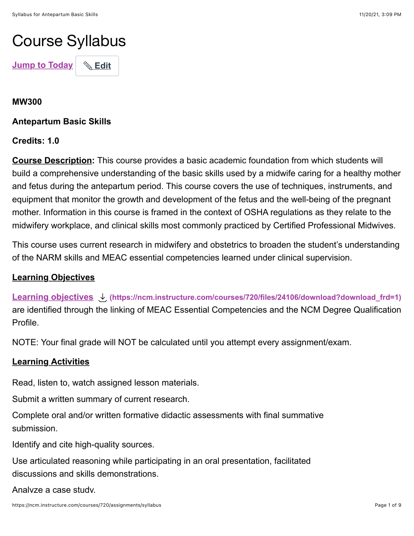# Course Syllabus

**[Jump to Today](https://ncm.instructure.com/courses/720/assignments/syllabus#)** | **& [Edit](https://ncm.instructure.com/courses/720/assignments/syllabus#)** 

## **MW300**

**Antepartum Basic Skills**

## **Credits: 1.0**

**Course Description:** This course provides a basic academic foundation from which students will build a comprehensive understanding of the basic skills used by a midwife caring for a healthy mother and fetus during the antepartum period. This course covers the use of techniques, instruments, and equipment that monitor the growth and development of the fetus and the well-being of the pregnant mother. Information in this course is framed in the context of OSHA regulations as they relate to the midwifery workplace, and clinical skills most commonly practiced by Certified Professional Midwives.

This course uses current research in midwifery and obstetrics to broaden the student's understanding of the NARM skills and MEAC essential competencies learned under clinical supervision.

## **Learning Objectives**

**[Learning objectives](https://ncm.instructure.com/courses/720/files/24106/download?wrap=1) [\(https://ncm.instructure.com/courses/720/files/24106/download?download\\_frd=1\)](https://ncm.instructure.com/courses/720/files/24106/download?download_frd=1)** are identified through the linking of MEAC Essential Competencies and the NCM Degree Qualification Profile.

NOTE: Your final grade will NOT be calculated until you attempt every assignment/exam.

## **Learning Activities**

Read, listen to, watch assigned lesson materials.

Submit a written summary of current research.

Complete oral and/or written formative didactic assessments with final summative submission.

Identify and cite high-quality sources.

Use articulated reasoning while participating in an oral presentation, facilitated discussions and skills demonstrations.

Analyze a case study.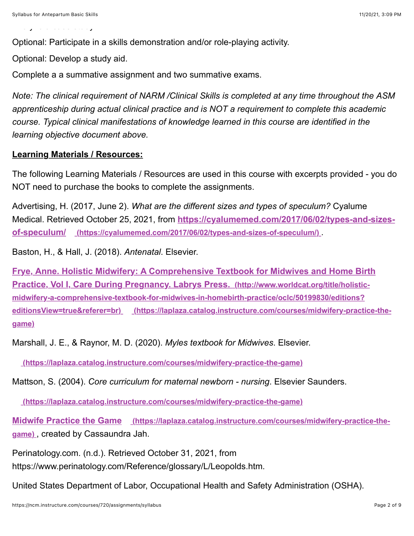Analyze a case study.

Optional: Participate in a skills demonstration and/or role-playing activity.

Optional: Develop a study aid.

Complete a a summative assignment and two summative exams.

*Note: The clinical requirement of NARM /Clinical Skills is completed at any time throughout the ASM apprenticeship during actual clinical practice and is NOT a requirement to complete this academic course. Typical clinical manifestations of knowledge learned in this course are identified in the learning objective document above.*

## **Learning Materials / Resources:**

The following Learning Materials / Resources are used in this course with excerpts provided - you do NOT need to purchase the books to complete the assignments.

Advertising, H. (2017, June 2). *What are the different sizes and types of speculum?* Cyalume Medical. Retrieved October 25, 2021, from **https://cyalumemed.com/2017/06/02/types-and-sizes[of-speculum/ \(https://cyalumemed.com/2017/06/02/types-and-sizes-of-speculum/\)](https://cyalumemed.com/2017/06/02/types-and-sizes-of-speculum/)** .

Baston, H., & Hall, J. (2018). *Antenatal*. Elsevier.

**[Frye, Anne. Holistic Midwifery: A Comprehensive Textbook for Midwives and Home Birth](http://www.worldcat.org/title/holistic-midwifery-a-comprehensive-textbook-for-midwives-in-homebirth-practice/oclc/50199830/editions?editionsView=true&referer=br) Practice, Vol I, Care During Pregnancy. Labrys Press. (http://www.worldcat.org/title/holisticmidwifery-a-comprehensive-textbook-for-midwives-in-homebirth-practice/oclc/50199830/editions?** [editionsView=true&referer=br\) \(https://laplaza.catalog.instructure.com/courses/midwifery-practice-the](https://laplaza.catalog.instructure.com/courses/midwifery-practice-the-game)**game)**

Marshall, J. E., & Raynor, M. D. (2020). *Myles textbook for Midwives*. Elsevier.

 **[\(https://laplaza.catalog.instructure.com/courses/midwifery-practice-the-game\)](https://laplaza.catalog.instructure.com/courses/midwifery-practice-the-game)**

Mattson, S. (2004). *Core curriculum for maternal newborn - nursing*. Elsevier Saunders.

 **[\(https://laplaza.catalog.instructure.com/courses/midwifery-practice-the-game\)](https://laplaza.catalog.instructure.com/courses/midwifery-practice-the-game)**

[Midwife Practice the Game \(https://laplaza.catalog.instructure.com/courses/midwifery-practice-the](https://laplaza.catalog.instructure.com/courses/midwifery-practice-the-game)**game)** , created by Cassaundra Jah.

Perinatology.com. (n.d.). Retrieved October 31, 2021, from

https://www.perinatology.com/Reference/glossary/L/Leopolds.htm.

United States Department of Labor, Occupational Health and Safety Administration (OSHA).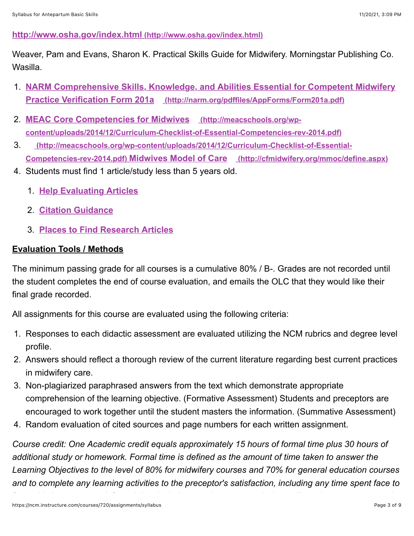## **[http://www.osha.gov/index.html \(http://www.osha.gov/index.html\)](http://www.osha.gov/index.html)**

Weaver, Pam and Evans, Sharon K. Practical Skills Guide for Midwifery. Morningstar Publishing Co. Wasilla.

- 1. **[NARM Comprehensive Skills, Knowledge, and Abilities Essential for Competent Midwifery](http://narm.org/pdffiles/AppForms/Form201a.pdf) Practice Verification Form 201a (http://narm.org/pdffiles/AppForms/Form201a.pdf)**
- 2. **MEAC Core Competencies for Midwives (http://meacschools.org/wp[content/uploads/2014/12/Curriculum-Checklist-of-Essential-Competencies-rev-2014.pdf\)](http://meacschools.org/wp-content/uploads/2014/12/Curriculum-Checklist-of-Essential-Competencies-rev-2014.pdf)**
- 3. **(http://meacschools.org/wp-content/uploads/2014/12/Curriculum-Checklist-of-Essential-[Competencies-rev-2014.pdf\) Midwives Model of Care \(http://cfmidwifery.org/mmoc/d](http://meacschools.org/wp-content/uploads/2014/12/Curriculum-Checklist-of-Essential-Competencies-rev-2014.pdf)[efine.aspx\)](http://cfmidwifery.org/mmoc/define.aspx)**
- 4. Students must find 1 article/study less than 5 years old.
	- 1. **[Help Evaluating Articles](https://ncm.instructure.com/courses/196/pages/help-evaluating-research-articles?module_item_id=52408%20)**
	- 2. **[Citation Guidance](https://ncm.instructure.com/courses/196/pages/works-cited?module_item_id=52407%C2%A0)**
	- 3. **[Places to Find Research Articles](https://ncm.instructure.com/courses/196/pages/finding-research-articles?module_item_id=52578%C2%A0)**

## **Evaluation Tools / Methods**

The minimum passing grade for all courses is a cumulative 80% / B-. Grades are not recorded until the student completes the end of course evaluation, and emails the OLC that they would like their final grade recorded.

All assignments for this course are evaluated using the following criteria:

- 1. Responses to each didactic assessment are evaluated utilizing the NCM rubrics and degree level profile.
- 2. Answers should reflect a thorough review of the current literature regarding best current practices in midwifery care.
- 3. Non-plagiarized paraphrased answers from the text which demonstrate appropriate comprehension of the learning objective. (Formative Assessment) Students and preceptors are encouraged to work together until the student masters the information. (Summative Assessment)
- 4. Random evaluation of cited sources and page numbers for each written assignment.

*Course credit: One Academic credit equals approximately 15 hours of formal time plus 30 hours of additional study or homework. Formal time is defined as the amount of time taken to answer the Learning Objectives to the level of 80% for midwifery courses and 70% for general education courses and to complete any learning activities to the preceptor's satisfaction, including any time spent face to*

*face with the preceptor. Informal time includes any time spent actively reading relevant sources and*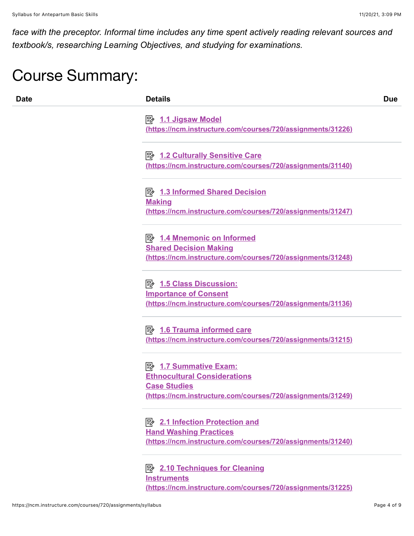*face with the preceptor. Informal time includes any time spent actively reading relevant sources and textbook/s, researching Learning Objectives, and studying for examinations.*

## Course Summary:

| <b>Date</b> | <b>Details</b>                                                                                                                        | <b>Due</b> |
|-------------|---------------------------------------------------------------------------------------------------------------------------------------|------------|
|             | (https://ncm.instructure.com/courses/720/assignments/31226)                                                                           |            |
|             | <b>B</b> 1.2 Culturally Sensitive Care<br>(https://ncm.instructure.com/courses/720/assignments/31140)                                 |            |
|             | <b>E</b> 1.3 Informed Shared Decision<br><b>Making</b><br>(https://ncm.instructure.com/courses/720/assignments/31247)                 |            |
|             | <u>→ 1.4 Mnemonic on Informed</u><br><b>Shared Decision Making</b><br>(https://ncm.instructure.com/courses/720/assignments/31248)     |            |
|             | <b>Importance of Consent</b><br>(https://ncm.instructure.com/courses/720/assignments/31136)                                           |            |
|             | $\mathbb{R}$ 1.6 Trauma informed care<br>(https://ncm.instructure.com/courses/720/assignments/31215)                                  |            |
|             | <b>Ethnocultural Considerations</b><br><b>Case Studies</b>                                                                            |            |
|             | (https://ncm.instructure.com/courses/720/assignments/31249)<br><b>E</b> 2.1 Infection Protection and<br><b>Hand Washing Practices</b> |            |
|             | (https://ncm.instructure.com/courses/720/assignments/31240)<br><b>E</b> 2.10 Techniques for Cleaning<br><b>Instruments</b>            |            |
|             | (https://ncm.instructure.com/courses/720/assignments/31225)                                                                           |            |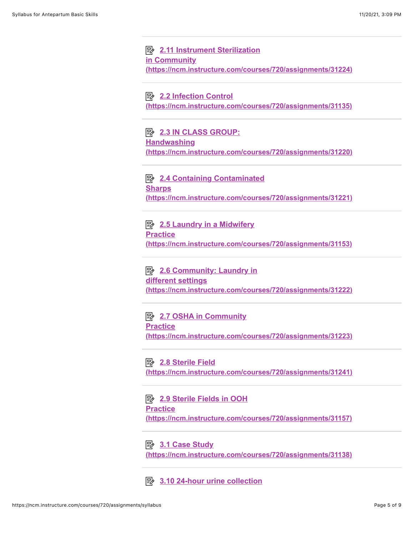**E** 2.11 Instrument Sterilization **in Community [\(https://ncm.instructure.com/courses/720/assignments/31224\)](https://ncm.instructure.com/courses/720/assignments/31224)**

**E** 2.2 Infection Control **[\(https://ncm.instructure.com/courses/720/assignments/31135\)](https://ncm.instructure.com/courses/720/assignments/31135)**

**EV 2.3 IN CLASS GROUP: Handwashing [\(https://ncm.instructure.com/courses/720/assignments/31220\)](https://ncm.instructure.com/courses/720/assignments/31220)**

**E** 2.4 Containing Contaminated **Sharps [\(https://ncm.instructure.com/courses/720/assignments/31221\)](https://ncm.instructure.com/courses/720/assignments/31221)**

**E** 2.5 Laundry in a Midwifery **Practice [\(https://ncm.instructure.com/courses/720/assignments/31153\)](https://ncm.instructure.com/courses/720/assignments/31153)**

**E** 2.6 Community: Laundry in **different settings [\(https://ncm.instructure.com/courses/720/assignments/31222\)](https://ncm.instructure.com/courses/720/assignments/31222)**

**E** 2.7 OSHA in Community **Practice [\(https://ncm.instructure.com/courses/720/assignments/31223\)](https://ncm.instructure.com/courses/720/assignments/31223)**

#### **B** 2.8 Sterile Field

**[\(https://ncm.instructure.com/courses/720/assignments/31241\)](https://ncm.instructure.com/courses/720/assignments/31241)**

**E** 2.9 Sterile Fields in OOH **Practice [\(https://ncm.instructure.com/courses/720/assignments/31157\)](https://ncm.instructure.com/courses/720/assignments/31157)**

#### **B** 3.1 Case Study

**[\(https://ncm.instructure.com/courses/720/assignments/31138\)](https://ncm.instructure.com/courses/720/assignments/31138)**

**E** [3.10 24-hour urine collection](https://ncm.instructure.com/courses/720/assignments/31237)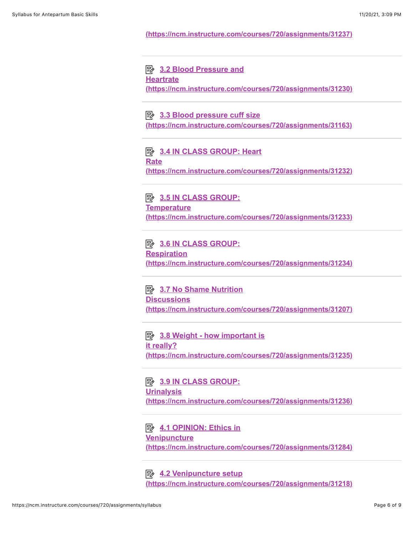#### **[\(https://ncm.instructure.com/courses/720/assignments/31237\)](https://ncm.instructure.com/courses/720/assignments/31237)**

## **E** 3.2 Blood Pressure and

**Heartrate**

**[\(https://ncm.instructure.com/courses/720/assignments/31230\)](https://ncm.instructure.com/courses/720/assignments/31230)**

#### **E** 3.3 Blood pressure cuff size

**[\(https://ncm.instructure.com/courses/720/assignments/31163\)](https://ncm.instructure.com/courses/720/assignments/31163)**

## **E** 3.4 IN CLASS GROUP: Heart **Rate [\(https://ncm.instructure.com/courses/720/assignments/31232\)](https://ncm.instructure.com/courses/720/assignments/31232)**

**EV 3.5 IN CLASS GROUP: Temperature [\(https://ncm.instructure.com/courses/720/assignments/31233\)](https://ncm.instructure.com/courses/720/assignments/31233)**

#### **E** 3.6 IN CLASS GROUP:

**Respiration [\(https://ncm.instructure.com/courses/720/assignments/31234\)](https://ncm.instructure.com/courses/720/assignments/31234)**

**E** 3.7 No Shame Nutrition **Discussions [\(https://ncm.instructure.com/courses/720/assignments/31207\)](https://ncm.instructure.com/courses/720/assignments/31207)**

**E** 3.8 Weight - how important is **it really? [\(https://ncm.instructure.com/courses/720/assignments/31235\)](https://ncm.instructure.com/courses/720/assignments/31235)**

**E** 3.9 IN CLASS GROUP: **Urinalysis [\(https://ncm.instructure.com/courses/720/assignments/31236\)](https://ncm.instructure.com/courses/720/assignments/31236)**

**B** 4.1 OPINION: Ethics in **Venipuncture [\(https://ncm.instructure.com/courses/720/assignments/31284\)](https://ncm.instructure.com/courses/720/assignments/31284)**

**E** 4.2 Venipuncture setup **[\(https://ncm.instructure.com/courses/720/assignments/31218\)](https://ncm.instructure.com/courses/720/assignments/31218)**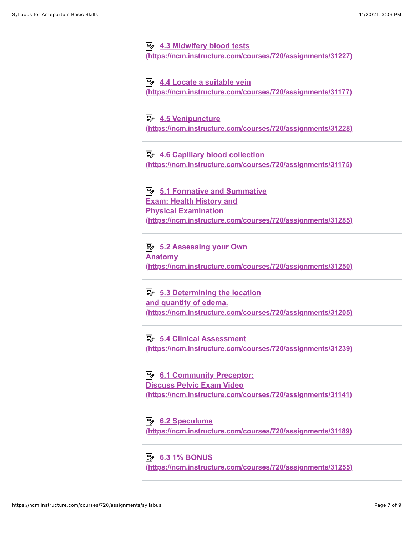**E** 4.3 Midwifery blood tests **[\(https://ncm.instructure.com/courses/720/assignments/31227\)](https://ncm.instructure.com/courses/720/assignments/31227)**

**E** 4.4 Locate a suitable vein **[\(https://ncm.instructure.com/courses/720/assignments/31177\)](https://ncm.instructure.com/courses/720/assignments/31177)**

**B** 4.5 Venipuncture **[\(https://ncm.instructure.com/courses/720/assignments/31228\)](https://ncm.instructure.com/courses/720/assignments/31228)**

**E** 4.6 Capillary blood collection **[\(https://ncm.instructure.com/courses/720/assignments/31175\)](https://ncm.instructure.com/courses/720/assignments/31175)**

**E** 5.1 Formative and Summative **Exam: Health History and Physical Examination [\(https://ncm.instructure.com/courses/720/assignments/31285\)](https://ncm.instructure.com/courses/720/assignments/31285)**

**<u> 图 5.2 Assessing your Own</u> Anatomy [\(https://ncm.instructure.com/courses/720/assignments/31250\)](https://ncm.instructure.com/courses/720/assignments/31250)**

**E** 5.3 Determining the location **and quantity of edema. [\(https://ncm.instructure.com/courses/720/assignments/31205\)](https://ncm.instructure.com/courses/720/assignments/31205)**

**E** 5.4 Clinical Assessment **[\(https://ncm.instructure.com/courses/720/assignments/31239\)](https://ncm.instructure.com/courses/720/assignments/31239)**

**B** 6.1 Community Preceptor: **Discuss Pelvic Exam Video [\(https://ncm.instructure.com/courses/720/assignments/31141\)](https://ncm.instructure.com/courses/720/assignments/31141)**

**E** 6.2 Speculums **[\(https://ncm.instructure.com/courses/720/assignments/31189\)](https://ncm.instructure.com/courses/720/assignments/31189)**

**E** 6.3 1% BONUS

**[\(https://ncm.instructure.com/courses/720/assignments/31255\)](https://ncm.instructure.com/courses/720/assignments/31255)**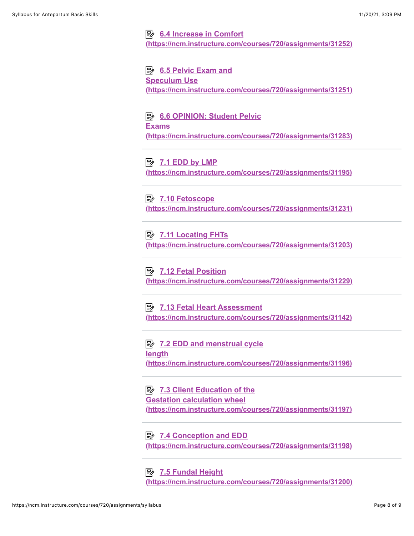#### **E** 6.4 Increase in Comfort

**[\(https://ncm.instructure.com/courses/720/assignments/31252\)](https://ncm.instructure.com/courses/720/assignments/31252)**

#### **E** 6.5 Pelvic Exam and

#### **Speculum Use**

**[\(https://ncm.instructure.com/courses/720/assignments/31251\)](https://ncm.instructure.com/courses/720/assignments/31251)**

**E** 6.6 OPINION: Student Pelvic **Exams [\(https://ncm.instructure.com/courses/720/assignments/31283\)](https://ncm.instructure.com/courses/720/assignments/31283)**

#### **B** 7.1 **EDD by LMP**

**[\(https://ncm.instructure.com/courses/720/assignments/31195\)](https://ncm.instructure.com/courses/720/assignments/31195)**

## **B** 7.10 Fetoscope

**[\(https://ncm.instructure.com/courses/720/assignments/31231\)](https://ncm.instructure.com/courses/720/assignments/31231)**

#### **E** 7.11 Locating FHTs

**[\(https://ncm.instructure.com/courses/720/assignments/31203\)](https://ncm.instructure.com/courses/720/assignments/31203)**

## **E** 7.12 Fetal Position

**[\(https://ncm.instructure.com/courses/720/assignments/31229\)](https://ncm.instructure.com/courses/720/assignments/31229)**

**EX 7.13 Fetal Heart Assessment [\(https://ncm.instructure.com/courses/720/assignments/31142\)](https://ncm.instructure.com/courses/720/assignments/31142)**

**EV** 7.2 EDD and menstrual cycle **length [\(https://ncm.instructure.com/courses/720/assignments/31196\)](https://ncm.instructure.com/courses/720/assignments/31196)**

**E** 7.3 Client Education of the **Gestation calculation wheel [\(https://ncm.instructure.com/courses/720/assignments/31197\)](https://ncm.instructure.com/courses/720/assignments/31197)**

## **E** 7.4 Conception and EDD

**[\(https://ncm.instructure.com/courses/720/assignments/31198\)](https://ncm.instructure.com/courses/720/assignments/31198)**

## **E** 7.5 Fundal Height

**[\(https://ncm.instructure.com/courses/720/assignments/31200\)](https://ncm.instructure.com/courses/720/assignments/31200)**